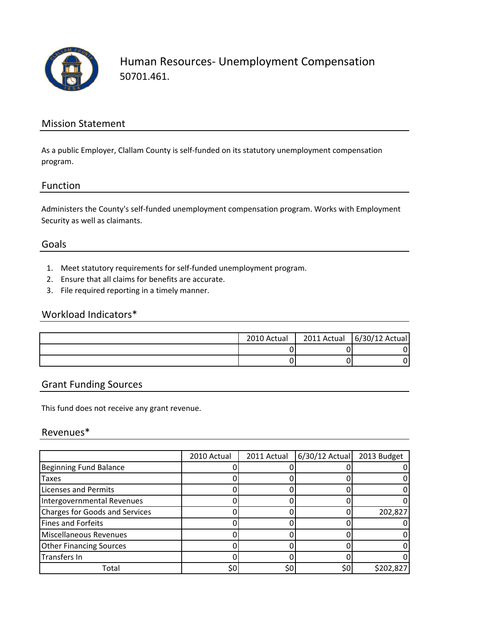![](_page_0_Picture_0.jpeg)

Human Resources‐ Unemployment Compensation 50701.461.

## Mission Statement

As a public Employer, Clallam County is self‐funded on its statutory unemployment compensation program.

#### Function

Administers the County's self‐funded unemployment compensation program. Works with Employment Security as well as claimants.

#### Goals

- 1. Meet statutory requirements for self‐funded unemployment program.
- 2. Ensure that all claims for benefits are accurate.
- 3. File required reporting in a timely manner.

## Workload Indicators\*

| 2010 Actual | 2011 Actual $\left  \frac{6}{30} \right $ 12 Actual |
|-------------|-----------------------------------------------------|
|             |                                                     |
|             |                                                     |

## Grant Funding Sources

This fund does not receive any grant revenue.

### Revenues\*

|                                       | 2010 Actual | 2011 Actual | $6/30/12$ Actual | 2013 Budget |
|---------------------------------------|-------------|-------------|------------------|-------------|
| <b>Beginning Fund Balance</b>         |             |             |                  |             |
| Taxes                                 |             |             |                  |             |
| <b>Licenses and Permits</b>           |             |             |                  |             |
| Intergovernmental Revenues            |             |             |                  |             |
| <b>Charges for Goods and Services</b> |             |             |                  | 202,827     |
| Fines and Forfeits                    |             |             |                  |             |
| Miscellaneous Revenues                |             |             |                  |             |
| <b>Other Financing Sources</b>        |             |             |                  |             |
| Transfers In                          |             |             |                  |             |
| Total                                 | \$C         | \$0         | \$0              | \$202,827   |